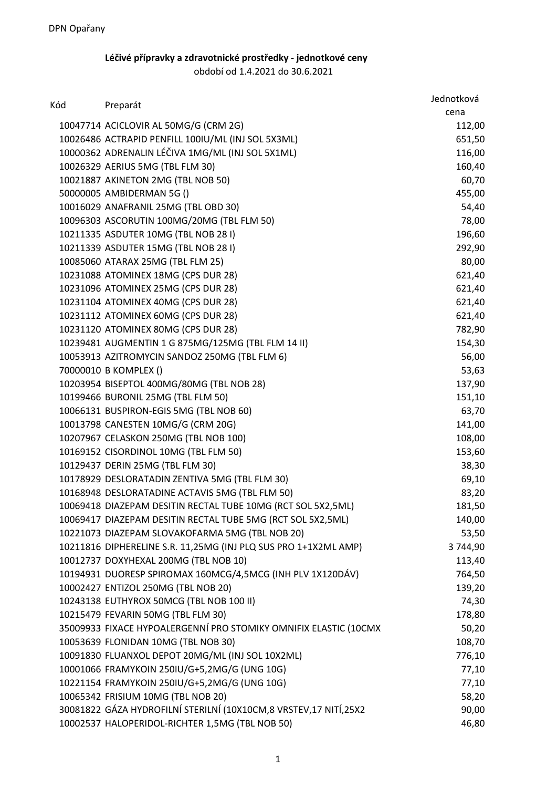## **Léčivé přípravky a zdravotnické prostředky - jednotkové ceny**

období od 1.4.2021 do 30.6.2021

| Kód |                                                                  | Jednotková |
|-----|------------------------------------------------------------------|------------|
|     | Preparát                                                         | cena       |
|     | 10047714 ACICLOVIR AL 50MG/G (CRM 2G)                            | 112,00     |
|     | 10026486 ACTRAPID PENFILL 100IU/ML (INJ SOL 5X3ML)               | 651,50     |
|     | 10000362 ADRENALIN LÉČIVA 1MG/ML (INJ SOL 5X1ML)                 | 116,00     |
|     | 10026329 AERIUS 5MG (TBL FLM 30)                                 | 160,40     |
|     | 10021887 AKINETON 2MG (TBL NOB 50)                               | 60,70      |
|     | 50000005 AMBIDERMAN 5G ()                                        | 455,00     |
|     | 10016029 ANAFRANIL 25MG (TBL OBD 30)                             | 54,40      |
|     | 10096303 ASCORUTIN 100MG/20MG (TBL FLM 50)                       | 78,00      |
|     | 10211335 ASDUTER 10MG (TBL NOB 28 I)                             | 196,60     |
|     | 10211339 ASDUTER 15MG (TBL NOB 28 I)                             | 292,90     |
|     | 10085060 ATARAX 25MG (TBL FLM 25)                                | 80,00      |
|     | 10231088 ATOMINEX 18MG (CPS DUR 28)                              | 621,40     |
|     | 10231096 ATOMINEX 25MG (CPS DUR 28)                              | 621,40     |
|     | 10231104 ATOMINEX 40MG (CPS DUR 28)                              | 621,40     |
|     | 10231112 ATOMINEX 60MG (CPS DUR 28)                              | 621,40     |
|     | 10231120 ATOMINEX 80MG (CPS DUR 28)                              | 782,90     |
|     | 10239481 AUGMENTIN 1 G 875MG/125MG (TBL FLM 14 II)               | 154,30     |
|     | 10053913 AZITROMYCIN SANDOZ 250MG (TBL FLM 6)                    | 56,00      |
|     | 70000010 B KOMPLEX ()                                            | 53,63      |
|     | 10203954 BISEPTOL 400MG/80MG (TBL NOB 28)                        | 137,90     |
|     | 10199466 BURONIL 25MG (TBL FLM 50)                               | 151,10     |
|     | 10066131 BUSPIRON-EGIS 5MG (TBL NOB 60)                          | 63,70      |
|     | 10013798 CANESTEN 10MG/G (CRM 20G)                               | 141,00     |
|     | 10207967 CELASKON 250MG (TBL NOB 100)                            | 108,00     |
|     | 10169152 CISORDINOL 10MG (TBL FLM 50)                            | 153,60     |
|     | 10129437 DERIN 25MG (TBL FLM 30)                                 | 38,30      |
|     | 10178929 DESLORATADIN ZENTIVA 5MG (TBL FLM 30)                   | 69,10      |
|     | 10168948 DESLORATADINE ACTAVIS 5MG (TBL FLM 50)                  | 83,20      |
|     | 10069418 DIAZEPAM DESITIN RECTAL TUBE 10MG (RCT SOL 5X2,5ML)     | 181,50     |
|     | 10069417 DIAZEPAM DESITIN RECTAL TUBE 5MG (RCT SOL 5X2,5ML)      | 140,00     |
|     | 10221073 DIAZEPAM SLOVAKOFARMA 5MG (TBL NOB 20)                  | 53,50      |
|     | 10211816 DIPHERELINE S.R. 11,25MG (INJ PLQ SUS PRO 1+1X2ML AMP)  | 3744,90    |
|     | 10012737 DOXYHEXAL 200MG (TBL NOB 10)                            | 113,40     |
|     | 10194931 DUORESP SPIROMAX 160MCG/4,5MCG (INH PLV 1X120DÁV)       | 764,50     |
|     | 10002427 ENTIZOL 250MG (TBL NOB 20)                              | 139,20     |
|     | 10243138 EUTHYROX 50MCG (TBL NOB 100 II)                         | 74,30      |
|     | 10215479 FEVARIN 50MG (TBL FLM 30)                               | 178,80     |
|     | 35009933 FIXACE HYPOALERGENNÍ PRO STOMIKY OMNIFIX ELASTIC (10CMX | 50,20      |
|     | 10053639 FLONIDAN 10MG (TBL NOB 30)                              | 108,70     |
|     | 10091830 FLUANXOL DEPOT 20MG/ML (INJ SOL 10X2ML)                 | 776,10     |
|     | 10001066 FRAMYKOIN 250IU/G+5,2MG/G (UNG 10G)                     | 77,10      |
|     | 10221154 FRAMYKOIN 250IU/G+5,2MG/G (UNG 10G)                     | 77,10      |
|     | 10065342 FRISIUM 10MG (TBL NOB 20)                               | 58,20      |
|     | 30081822 GÁZA HYDROFILNÍ STERILNÍ (10X10CM,8 VRSTEV,17 NITÍ,25X2 | 90,00      |
|     | 10002537 HALOPERIDOL-RICHTER 1,5MG (TBL NOB 50)                  | 46,80      |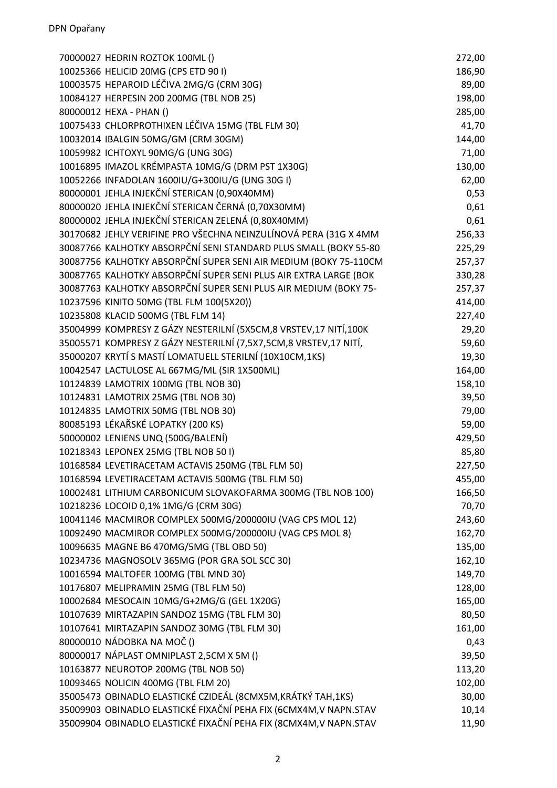| 70000027 HEDRIN ROZTOK 100ML ()                                   | 272,00 |
|-------------------------------------------------------------------|--------|
| 10025366 HELICID 20MG (CPS ETD 90 I)                              | 186,90 |
| 10003575 HEPAROID LÉČIVA 2MG/G (CRM 30G)                          | 89,00  |
| 10084127 HERPESIN 200 200MG (TBL NOB 25)                          | 198,00 |
| 80000012 HEXA - PHAN ()                                           | 285,00 |
| 10075433 CHLORPROTHIXEN LÉČIVA 15MG (TBL FLM 30)                  | 41,70  |
| 10032014 IBALGIN 50MG/GM (CRM 30GM)                               | 144,00 |
| 10059982 ICHTOXYL 90MG/G (UNG 30G)                                | 71,00  |
| 10016895 IMAZOL KRÉMPASTA 10MG/G (DRM PST 1X30G)                  | 130,00 |
| 10052266 INFADOLAN 1600IU/G+300IU/G (UNG 30G I)                   | 62,00  |
| 80000001 JEHLA INJEKČNÍ STERICAN (0,90X40MM)                      | 0,53   |
| 80000020 JEHLA INJEKČNÍ STERICAN ČERNÁ (0,70X30MM)                | 0,61   |
| 80000002 JEHLA INJEKČNÍ STERICAN ZELENÁ (0,80X40MM)               | 0,61   |
| 30170682 JEHLY VERIFINE PRO VŠECHNA NEINZULÍNOVÁ PERA (31G X 4MM  | 256,33 |
| 30087766 KALHOTKY ABSORPČNÍ SENI STANDARD PLUS SMALL (BOKY 55-80  | 225,29 |
| 30087756 KALHOTKY ABSORPČNÍ SUPER SENI AIR MEDIUM (BOKY 75-110CM  | 257,37 |
| 30087765 KALHOTKY ABSORPČNÍ SUPER SENI PLUS AIR EXTRA LARGE (BOK  | 330,28 |
| 30087763 KALHOTKY ABSORPČNÍ SUPER SENI PLUS AIR MEDIUM (BOKY 75-  | 257,37 |
| 10237596 KINITO 50MG (TBL FLM 100(5X20))                          | 414,00 |
| 10235808 KLACID 500MG (TBL FLM 14)                                | 227,40 |
| 35004999 KOMPRESY Z GÁZY NESTERILNÍ (5X5CM,8 VRSTEV,17 NITÍ,100K  | 29,20  |
| 35005571 KOMPRESY Z GÁZY NESTERILNÍ (7,5X7,5CM,8 VRSTEV,17 NITÍ,  | 59,60  |
| 35000207 KRYTÍ S MASTÍ LOMATUELL STERILNÍ (10X10CM,1KS)           | 19,30  |
| 10042547 LACTULOSE AL 667MG/ML (SIR 1X500ML)                      | 164,00 |
| 10124839 LAMOTRIX 100MG (TBL NOB 30)                              | 158,10 |
| 10124831 LAMOTRIX 25MG (TBL NOB 30)                               | 39,50  |
| 10124835 LAMOTRIX 50MG (TBL NOB 30)                               | 79,00  |
| 80085193 LÉKAŘSKÉ LOPATKY (200 KS)                                | 59,00  |
| 50000002 LENIENS UNQ (500G/BALENÍ)                                | 429,50 |
| 10218343 LEPONEX 25MG (TBL NOB 501)                               | 85,80  |
| 10168584 LEVETIRACETAM ACTAVIS 250MG (TBL FLM 50)                 | 227,50 |
| 10168594 LEVETIRACETAM ACTAVIS 500MG (TBL FLM 50)                 | 455,00 |
| 10002481 LITHIUM CARBONICUM SLOVAKOFARMA 300MG (TBL NOB 100)      | 166,50 |
| 10218236 LOCOID 0,1% 1MG/G (CRM 30G)                              | 70,70  |
| 10041146 MACMIROR COMPLEX 500MG/200000IU (VAG CPS MOL 12)         | 243,60 |
| 10092490 MACMIROR COMPLEX 500MG/200000IU (VAG CPS MOL 8)          | 162,70 |
| 10096635 MAGNE B6 470MG/5MG (TBL OBD 50)                          | 135,00 |
| 10234736 MAGNOSOLV 365MG (POR GRA SOL SCC 30)                     | 162,10 |
| 10016594 MALTOFER 100MG (TBL MND 30)                              | 149,70 |
| 10176807 MELIPRAMIN 25MG (TBL FLM 50)                             | 128,00 |
| 10002684 MESOCAIN 10MG/G+2MG/G (GEL 1X20G)                        | 165,00 |
| 10107639 MIRTAZAPIN SANDOZ 15MG (TBL FLM 30)                      | 80,50  |
| 10107641 MIRTAZAPIN SANDOZ 30MG (TBL FLM 30)                      | 161,00 |
| 80000010 NÁDOBKA NA MOČ ()                                        | 0,43   |
| 80000017 NÁPLAST OMNIPLAST 2,5CM X 5M ()                          | 39,50  |
| 10163877 NEUROTOP 200MG (TBL NOB 50)                              | 113,20 |
| 10093465 NOLICIN 400MG (TBL FLM 20)                               | 102,00 |
| 35005473 OBINADLO ELASTICKÉ CZIDEÁL (8CMX5M, KRÁTKÝ TAH, 1KS)     | 30,00  |
| 35009903 OBINADLO ELASTICKÉ FIXAČNÍ PEHA FIX (6CMX4M, V NAPN.STAV |        |
|                                                                   | 10,14  |
| 35009904 OBINADLO ELASTICKÉ FIXAČNÍ PEHA FIX (8CMX4M, V NAPN.STAV | 11,90  |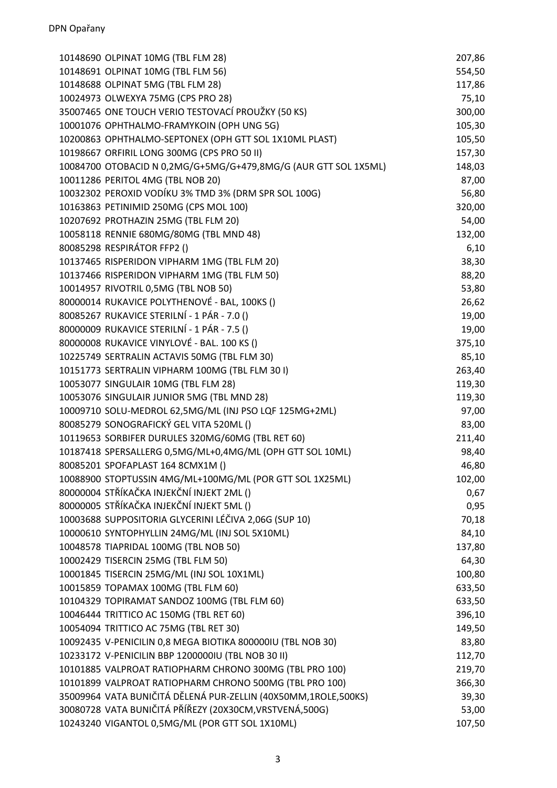| 10148690 OLPINAT 10MG (TBL FLM 28)                              | 207,86 |
|-----------------------------------------------------------------|--------|
| 10148691 OLPINAT 10MG (TBL FLM 56)                              | 554,50 |
| 10148688 OLPINAT 5MG (TBL FLM 28)                               | 117,86 |
| 10024973 OLWEXYA 75MG (CPS PRO 28)                              | 75,10  |
| 35007465 ONE TOUCH VERIO TESTOVACÍ PROUŽKY (50 KS)              | 300,00 |
| 10001076 OPHTHALMO-FRAMYKOIN (OPH UNG 5G)                       | 105,30 |
| 10200863 OPHTHALMO-SEPTONEX (OPH GTT SOL 1X10ML PLAST)          | 105,50 |
| 10198667 ORFIRIL LONG 300MG (CPS PRO 50 II)                     | 157,30 |
| 10084700 OTOBACID N 0,2MG/G+5MG/G+479,8MG/G (AUR GTT SOL 1X5ML) | 148,03 |
| 10011286 PERITOL 4MG (TBL NOB 20)                               | 87,00  |
| 10032302 PEROXID VODÍKU 3% TMD 3% (DRM SPR SOL 100G)            | 56,80  |
| 10163863 PETINIMID 250MG (CPS MOL 100)                          | 320,00 |
| 10207692 PROTHAZIN 25MG (TBL FLM 20)                            | 54,00  |
| 10058118 RENNIE 680MG/80MG (TBL MND 48)                         | 132,00 |
| 80085298 RESPIRÁTOR FFP2 ()                                     | 6,10   |
| 10137465 RISPERIDON VIPHARM 1MG (TBL FLM 20)                    | 38,30  |
| 10137466 RISPERIDON VIPHARM 1MG (TBL FLM 50)                    | 88,20  |
| 10014957 RIVOTRIL 0,5MG (TBL NOB 50)                            | 53,80  |
| 80000014 RUKAVICE POLYTHENOVÉ - BAL, 100KS ()                   | 26,62  |
| 80085267 RUKAVICE STERILNÍ - 1 PÁR - 7.0 ()                     | 19,00  |
| 80000009 RUKAVICE STERILNÍ - 1 PÁR - 7.5 ()                     | 19,00  |
| 80000008 RUKAVICE VINYLOVÉ - BAL. 100 KS ()                     | 375,10 |
| 10225749 SERTRALIN ACTAVIS 50MG (TBL FLM 30)                    | 85,10  |
| 10151773 SERTRALIN VIPHARM 100MG (TBL FLM 301)                  | 263,40 |
| 10053077 SINGULAIR 10MG (TBL FLM 28)                            | 119,30 |
| 10053076 SINGULAIR JUNIOR 5MG (TBL MND 28)                      | 119,30 |
| 10009710 SOLU-MEDROL 62,5MG/ML (INJ PSO LQF 125MG+2ML)          | 97,00  |
| 80085279 SONOGRAFICKÝ GEL VITA 520ML ()                         | 83,00  |
| 10119653 SORBIFER DURULES 320MG/60MG (TBL RET 60)               | 211,40 |
| 10187418 SPERSALLERG 0,5MG/ML+0,4MG/ML (OPH GTT SOL 10ML)       | 98,40  |
| 80085201 SPOFAPLAST 164 8CMX1M ()                               | 46,80  |
| 10088900 STOPTUSSIN 4MG/ML+100MG/ML (POR GTT SOL 1X25ML)        | 102,00 |
| 80000004 STŘÍKAČKA INJEKČNÍ INJEKT 2ML ()                       | 0,67   |
| 80000005 STŘÍKAČKA INJEKČNÍ INJEKT 5ML ()                       | 0,95   |
| 10003688 SUPPOSITORIA GLYCERINI LÉČIVA 2,06G (SUP 10)           | 70,18  |
| 10000610 SYNTOPHYLLIN 24MG/ML (INJ SOL 5X10ML)                  | 84,10  |
| 10048578 TIAPRIDAL 100MG (TBL NOB 50)                           | 137,80 |
| 10002429 TISERCIN 25MG (TBL FLM 50)                             | 64,30  |
| 10001845 TISERCIN 25MG/ML (INJ SOL 10X1ML)                      | 100,80 |
| 10015859 TOPAMAX 100MG (TBL FLM 60)                             | 633,50 |
| 10104329 TOPIRAMAT SANDOZ 100MG (TBL FLM 60)                    | 633,50 |
| 10046444 TRITTICO AC 150MG (TBL RET 60)                         | 396,10 |
| 10054094 TRITTICO AC 75MG (TBL RET 30)                          | 149,50 |
| 10092435 V-PENICILIN 0,8 MEGA BIOTIKA 800000IU (TBL NOB 30)     | 83,80  |
| 10233172 V-PENICILIN BBP 1200000IU (TBL NOB 30 II)              | 112,70 |
| 10101885 VALPROAT RATIOPHARM CHRONO 300MG (TBL PRO 100)         | 219,70 |
| 10101899 VALPROAT RATIOPHARM CHRONO 500MG (TBL PRO 100)         | 366,30 |
| 35009964 VATA BUNIČITÁ DĚLENÁ PUR-ZELLIN (40X50MM,1ROLE,500KS)  | 39,30  |
| 30080728 VATA BUNIČITÁ PŘÍŘEZY (20X30CM, VRSTVENÁ, 500G)        | 53,00  |
| 10243240 VIGANTOL 0,5MG/ML (POR GTT SOL 1X10ML)                 | 107,50 |